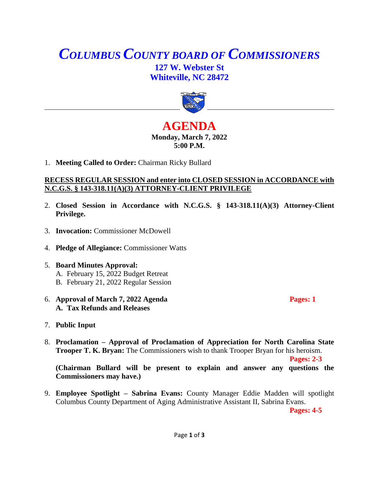# *COLUMBUS COUNTY BOARD OF COMMISSIONERS* **127 W. Webster St Whiteville, NC 28472**



## **AGENDA Monday, March 7, 2022 5:00 P.M.**

1. **Meeting Called to Order:** Chairman Ricky Bullard

#### **RECESS REGULAR SESSION and enter into CLOSED SESSION in ACCORDANCE with N.C.G.S. § 143-318.11(A)(3) ATTORNEY-CLIENT PRIVILEGE**

- 2. **Closed Session in Accordance with N.C.G.S. § 143-318.11(A)(3) Attorney-Client Privilege.**
- 3. **Invocation:** Commissioner McDowell
- 4. **Pledge of Allegiance:** Commissioner Watts
- 5. **Board Minutes Approval:** A. February 15, 2022 Budget Retreat B. February 21, 2022 Regular Session
- 6. **Approval of March 7, 2022 Agenda Pages: 1 A. Tax Refunds and Releases**
- 7. **Public Input**
- 8. **Proclamation – Approval of Proclamation of Appreciation for North Carolina State Trooper T. K. Bryan:** The Commissioners wish to thank Trooper Bryan for his heroism.

**Pages: 2-3**

**(Chairman Bullard will be present to explain and answer any questions the Commissioners may have.)**

9. **Employee Spotlight – Sabrina Evans:** County Manager Eddie Madden will spotlight Columbus County Department of Aging Administrative Assistant II, Sabrina Evans.

**Pages: 4-5**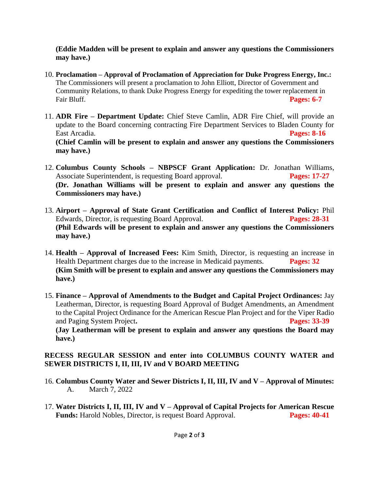**(Eddie Madden will be present to explain and answer any questions the Commissioners may have.)**

- 10. **Proclamation – Approval of Proclamation of Appreciation for Duke Progress Energy, Inc.:**  The Commissioners will present a proclamation to John Elliott, Director of Government and Community Relations, to thank Duke Progress Energy for expediting the tower replacement in Fair Bluff. **Pages: 6-7**
- 11. **ADR Fire – Department Update:** Chief Steve Camlin, ADR Fire Chief, will provide an update to the Board concerning contracting Fire Department Services to Bladen County for East Arcadia. **Pages: 8-16 (Chief Camlin will be present to explain and answer any questions the Commissioners may have.)**
- 12. **Columbus County Schools – NBPSCF Grant Application:** Dr. Jonathan Williams, Associate Superintendent, is requesting Board approval. **Pages: 17-27 (Dr. Jonathan Williams will be present to explain and answer any questions the Commissioners may have.)**
- 13. **Airport – Approval of State Grant Certification and Conflict of Interest Policy:** Phil Edwards, Director, is requesting Board Approval. **Pages: 28-31 (Phil Edwards will be present to explain and answer any questions the Commissioners may have.)**
- 14. **Health – Approval of Increased Fees:** Kim Smith, Director, is requesting an increase in Health Department charges due to the increase in Medicaid payments. **Pages: 32 (Kim Smith will be present to explain and answer any questions the Commissioners may have.)**
- 15. **Finance – Approval of Amendments to the Budget and Capital Project Ordinances:** Jay Leatherman, Director, is requesting Board Approval of Budget Amendments, an Amendment to the Capital Project Ordinance for the American Rescue Plan Project and for the Viper Radio and Paging System Project**. Pages: 33-39 (Jay Leatherman will be present to explain and answer any questions the Board may have.)**

## **RECESS REGULAR SESSION and enter into COLUMBUS COUNTY WATER and SEWER DISTRICTS I, II, III, IV and V BOARD MEETING**

- 16. **Columbus County Water and Sewer Districts I, II, III, IV and V – Approval of Minutes:** A. March 7, 2022
- 17. **Water Districts I, II, III, IV and V – Approval of Capital Projects for American Rescue Funds:** Harold Nobles, Director, is request Board Approval. **Pages: 40-41**